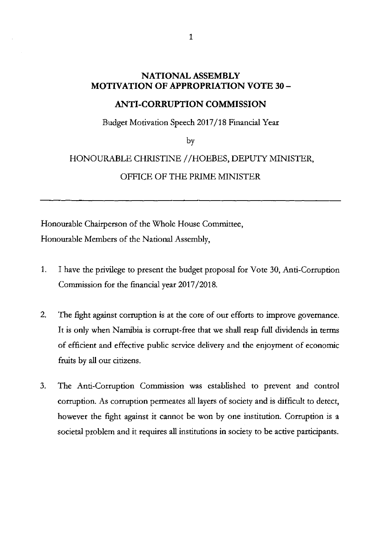## **NATIONAL ASSEMBLY MOTIVATION OF APPROPRIATION VOTE 30 -**

## **ANTI-CORRUPTION COMMISSION**

Budget Motivation Speech 2017/18 Financial Year

by

## HONOURABLE CHRISTINE / /HOEBES, DEPUTY MINISTER,

## OFFICE OF THE PRIME MINISTER

Honourable Chairperson of the Whole House Committee, Honourable Members of the National Assembly,

- 1. I have the privilege to present the budget proposal for Vote 30, Anti-Corruption Commission for the financial year 2017/2018.
- 2. The fight against corruption is at the core of our efforts to improve governance. It is only when Namibia is corrupt-free that we shall reap full dividends in terms of efficient and effective public service delivery and the enjoyment of economic fruits by all our citizens.
- 3. The Anti-Corruption Commission was established to prevent and control corruption. As corruption permeates all layers of society and is difficult to detect, however the fight against it cannot be won by one institution. Corruption is a societal problem and it requires all institutions in society to be active participants.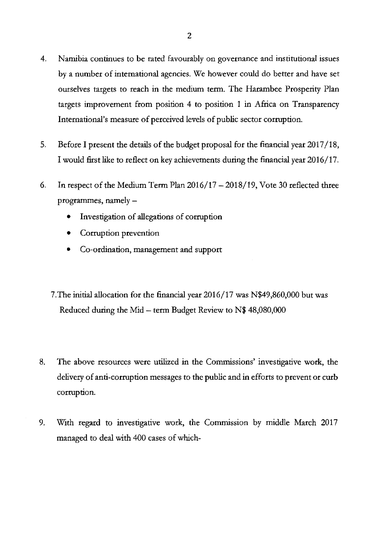- 4. Namibia continues to be rated favourably on governance and institutional issues by a number of international agencies. We however could do better and have set ourselves targets to reach in the medium term. The Harambee Prosperity Plan targets improvement from position 4 to position 1 in Africa on Transparency International's measure of perceived levels of public sector corruption.
- 5. Before I present the details of the budget proposal for the financial year 2017/18, I would first like to reflect on key achievements during the financial year 2016/17.
- 6. In respect of the Medium Term Plan  $2016/17 2018/19$ , Vote 30 reflected three programmes, namely  $-$ 
	- Investigation of allegations of corruption
	- Corruption prevention
	- Co-ordination, management and support
	- 7.The initial allocation for the financial year 2016/17 was N\$49,860,000 but was Reduced during the Mid  $-$  term Budget Review to N\$ 48,080,000
- 8. The above resources were utilized in the Commissions' investigative work, the delivery of anti-corruption messages to the public and in efforts to prevent or curb corruption.
- 9. With regard to investigative work, the Commission by middle March 2017 managed to deal with 400 cases of which-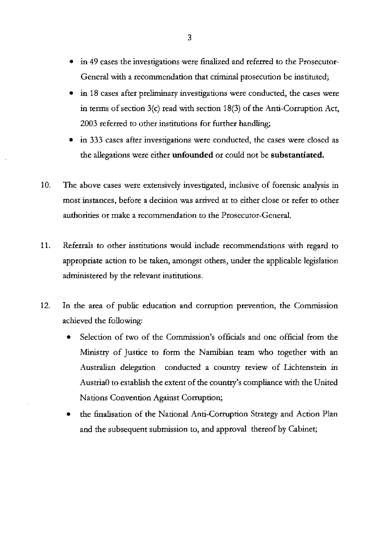- in 49 cases the investigations were finalized and referred to the Prosecutor-General with a recommendation that criminal prosecution be instituted;
- in 18 cases after preliminary investigations were conducted, the cases were in terms of section 3(c) read with section 18(3) of the Anti-Corruption Act, 2003 referred to other institutions for further handling;
- in 333 cases after investigations were conducted, the cases were closed as the allegations were either **unfounded** or could not be **substantiated.**
- 10. The above cases were extensively investigated, inclusive of forensic analysis in most instances, before a decision was arrived at to either close or refer to other authorities or make a recommendation to the Prosecutor-General.
- 11. Referrals to other institutions would include recommendations with regard to appropriate action to be taken, amongst others, under the applicable legislation administered by the relevant institutions.
- 12. **In** the area of public education and corruption prevention, the Commission achieved the following:
	- Selection of two of the Commission's officials and one official from the Ministry of Justice to form the Namibian team who together with an Australian delegation conducted a country review of Lichtenstein in AustriaO to establish the extent of the country's compliance with the United Nations Convention Against Corruption;
	- the finalisation of the National Anti-Corruption Strategy and Action Plan and the subsequent submission to, and approval thereof by Cabinet;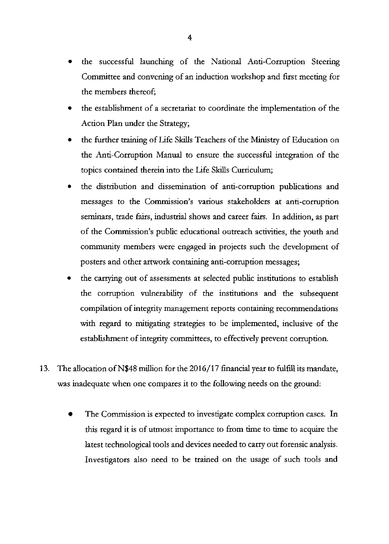- the successful launching of the National Anti-Corruption Steering Committee and convening of an induction workshop and first meeting for the members thereof;
- the establishment of a secretariat to coordinate the implementation of the Action Plan under the Strategy;
- the further training of Life Skills Teachers of the Ministry of Education on the Anti-Corruption Manual to ensure the successful integration of the topics contained therein into the Life Skills Curriculum;
- the distribution and dissemination of anti-corruption publications and messages to the Commission's various stakeholders at anti-corruption seminars, trade fairs, industrial shows and career fairs. In addition, as part of the Commission's public educational outreach activities, the youth and community members were engaged in projects such the development of posters and other artwork containing anti-corruption messages;
- the carrying out of assessments at selected public institutions to establish the corruption vulnerability of the institutions and the subsequent compilation of integrity management reports containing recommendations with regard to mitigating strategies to be implemented, inclusive of the establishment of integrity committees, to effectively prevent corruption.
- 13. The allocation ofN\$48 million for the 2016/17 financial year to fulfill its mandate, was inadequate when one compares it to the following needs on the ground:
	- The Commission is expected to investigate complex corruption cases. In this regard it is of utmost importance to from time to time to acquire the latest technological tools and devices needed to carry out forensic analysis. Investigators also need to be trained on the usage of such tools and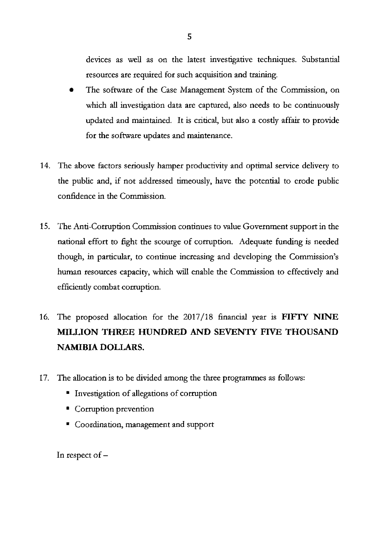devices as well as on the latest investigative techniques. Substantial resources are required for such acquisition and training.

- The software of the Case Management System of the Commission, on which all investigation data are captured, also needs to be continuously updated and maintained. It is critical, but also a costly affair to provide for the software updates and maintenance.
- 14. The above factors seriously hamper productivity and optimal service delivery to the public and, if not addressed timeously, have the potential to erode public confidence in the Commission.
- 15. The Anti-Corruption Commission continues to value Government support in the national effort to fight the scourge of corruption. Adequate funding is needed though, in particular, to continue increasing and developing the Commission's human resources capacity, which will enable the Commission to effectively and efficiently combat corruption.
- 16. The proposed allocation for the 2017/18 financial year is **FIFTY NINE MILLION THREE HUNDRED AND SEVENTY FIVE THOUSAND NAMIBIA DOLLARS.**
- 17. The allocation is to be divided among the three programmes as follows:
	- Investigation of allegations of corruption
	- Corruption prevention
	- Coordination, management and support

In respect of  $-$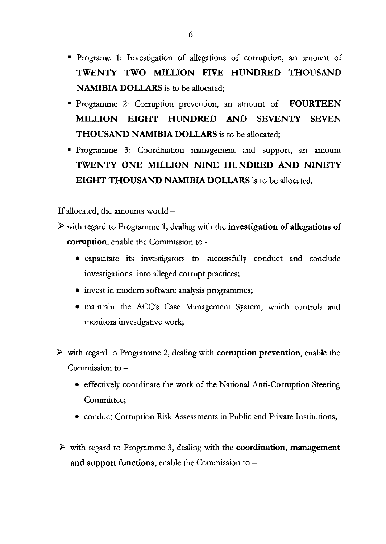- Programe 1: Investigation of allegations of corruption, an amount of **TWENTY TWO MILLION FIVE HUNDRED THOUSAND NAMIBIA DOLLARS** is to be allocated;
- Programme 2: Corruption prevention, an amount of **FOURTEEN MILLION EIGHT HUNDRED AND SEVENTY SEVEN THOUSAND NAMIBIA DOLLARS** is to be allocated;
- Programme 3: Coordination management and support, an amount **TWENTY ONE MILLION NINE HUNDRED AND NINETY EIGHT THOUSAND NAMIBIA DOLLARS** is to be allocated.

If allocated, the amounts would -

- ~ with regard to Programme 1, dealing with the **investigation of allegations of corruption,** enable the Commission to -
	- capacitate its investigators to successfully conduct and conclude investigations into alleged corrupt practices;
	- invest in modern software analysis programmes;
	- maintain the ACC's Case Management System, which controls and monitors investigative work;
- ~ with regard to Programme 2, dealing with **corruption prevention,** enable the Commission to  $-$ 
	- effectively coordinate the work of the National Anti-Corruption Steering Committee;
	- conduct Corruption Risk Assessments in Public and Private Institutions;
- ~ with regard to Programme 3, dealing with the **coordination, management and support functions,** enable the Commission to -